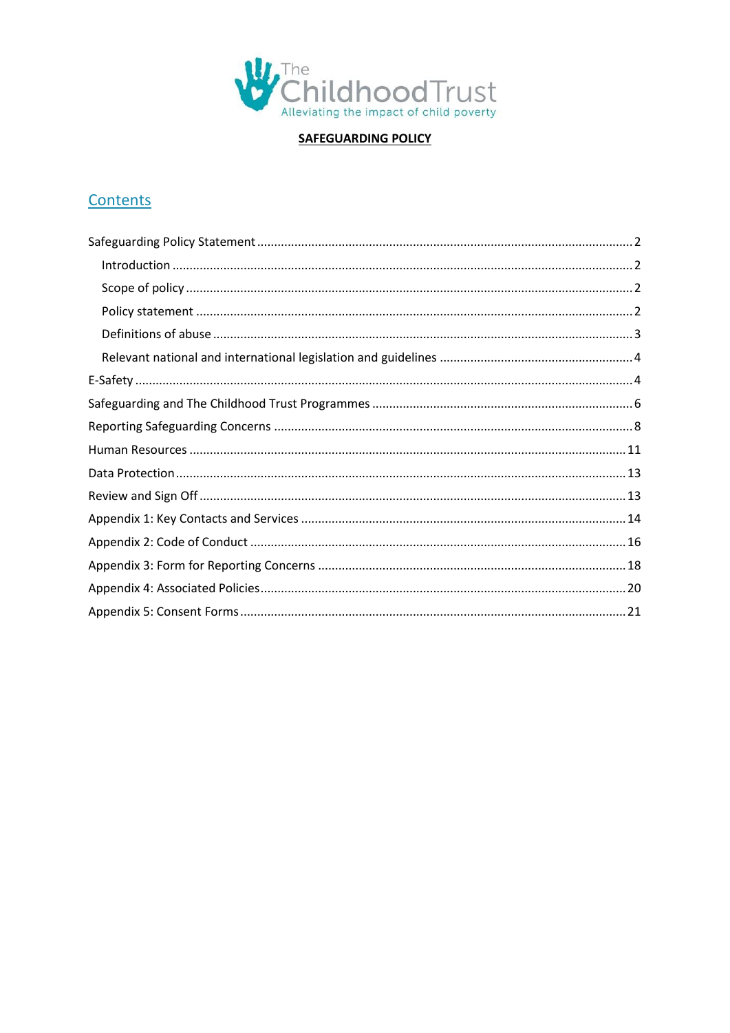

**SAFEGUARDING POLICY** 

# Contents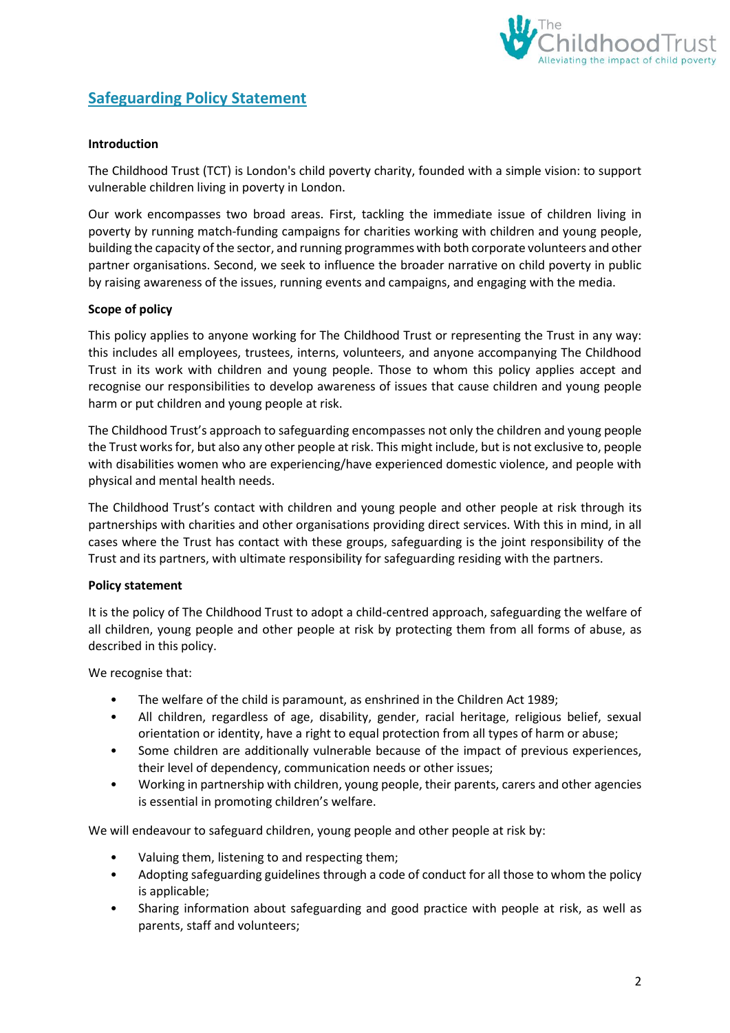

## <span id="page-1-0"></span>**Safeguarding Policy Statement**

#### <span id="page-1-1"></span>**Introduction**

The Childhood Trust (TCT) is London's child poverty charity, founded with a simple vision: to support vulnerable children living in poverty in London.

Our work encompasses two broad areas. First, tackling the immediate issue of children living in poverty by running match-funding campaigns for charities working with children and young people, building the capacity of the sector, and running programmes with both corporate volunteers and other partner organisations. Second, we seek to influence the broader narrative on child poverty in public by raising awareness of the issues, running events and campaigns, and engaging with the media.

#### <span id="page-1-2"></span>**Scope of policy**

This policy applies to anyone working for The Childhood Trust or representing the Trust in any way: this includes all employees, trustees, interns, volunteers, and anyone accompanying The Childhood Trust in its work with children and young people. Those to whom this policy applies accept and recognise our responsibilities to develop awareness of issues that cause children and young people harm or put children and young people at risk.

The Childhood Trust's approach to safeguarding encompasses not only the children and young people the Trust works for, but also any other people at risk. This might include, but is not exclusive to, people with disabilities women who are experiencing/have experienced domestic violence, and people with physical and mental health needs.

The Childhood Trust's contact with children and young people and other people at risk through its partnerships with charities and other organisations providing direct services. With this in mind, in all cases where the Trust has contact with these groups, safeguarding is the joint responsibility of the Trust and its partners, with ultimate responsibility for safeguarding residing with the partners.

#### <span id="page-1-3"></span>**Policy statement**

It is the policy of The Childhood Trust to adopt a child-centred approach, safeguarding the welfare of all children, young people and other people at risk by protecting them from all forms of abuse, as described in this policy.

We recognise that:

- The welfare of the child is paramount, as enshrined in the Children Act 1989;
- All children, regardless of age, disability, gender, racial heritage, religious belief, sexual orientation or identity, have a right to equal protection from all types of harm or abuse;
- Some children are additionally vulnerable because of the impact of previous experiences, their level of dependency, communication needs or other issues;
- Working in partnership with children, young people, their parents, carers and other agencies is essential in promoting children's welfare.

We will endeavour to safeguard children, young people and other people at risk by:

- Valuing them, listening to and respecting them;
- Adopting safeguarding guidelines through a code of conduct for all those to whom the policy is applicable;
- Sharing information about safeguarding and good practice with people at risk, as well as parents, staff and volunteers;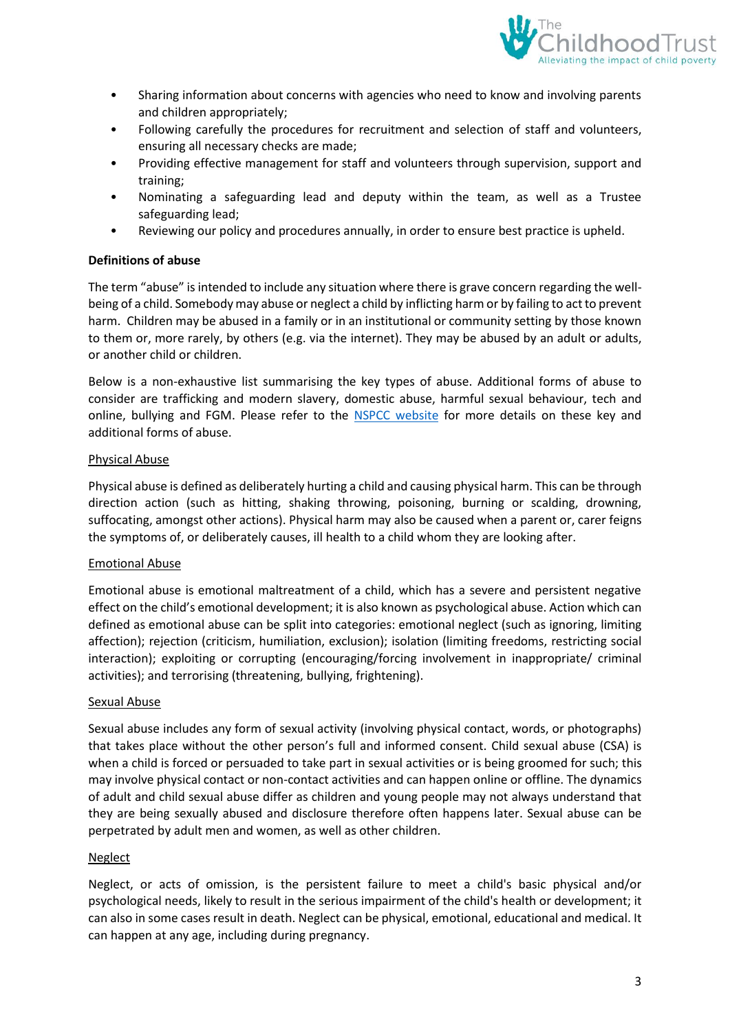

- Sharing information about concerns with agencies who need to know and involving parents and children appropriately;
- Following carefully the procedures for recruitment and selection of staff and volunteers, ensuring all necessary checks are made;
- Providing effective management for staff and volunteers through supervision, support and training;
- Nominating a safeguarding lead and deputy within the team, as well as a Trustee safeguarding lead;
- Reviewing our policy and procedures annually, in order to ensure best practice is upheld.

#### <span id="page-2-0"></span>**Definitions of abuse**

The term "abuse" is intended to include any situation where there is grave concern regarding the wellbeing of a child. Somebody may abuse or neglect a child by inflicting harm or by failing to act to prevent harm. Children may be abused in a family or in an institutional or community setting by those known to them or, more rarely, by others (e.g. via the internet). They may be abused by an adult or adults, or another child or children.

Below is a non-exhaustive list summarising the key types of abuse. Additional forms of abuse to consider are trafficking and modern slavery, domestic abuse, harmful sexual behaviour, tech and online, bullying and FGM. Please refer to the [NSPCC website](https://learning.nspcc.org.uk/child-abuse-and-neglect/) for more details on these key and additional forms of abuse.

#### Physical Abuse

Physical abuse is defined as deliberately hurting a child and causing physical harm. This can be through direction action (such as hitting, shaking throwing, poisoning, burning or scalding, drowning, suffocating, amongst other actions). Physical harm may also be caused when a parent or, carer feigns the symptoms of, or deliberately causes, ill health to a child whom they are looking after.

#### Emotional Abuse

Emotional abuse is emotional maltreatment of a child, which has a severe and persistent negative effect on the child's emotional development; it is also known as psychological abuse. Action which can defined as emotional abuse can be split into categories: emotional neglect (such as ignoring, limiting affection); rejection (criticism, humiliation, exclusion); isolation (limiting freedoms, restricting social interaction); exploiting or corrupting (encouraging/forcing involvement in inappropriate/ criminal activities); and terrorising (threatening, bullying, frightening).

#### Sexual Abuse

Sexual abuse includes any form of sexual activity (involving physical contact, words, or photographs) that takes place without the other person's full and informed consent. Child sexual abuse (CSA) is when a child is forced or persuaded to take part in sexual activities or is being groomed for such; this may involve physical contact or non-contact activities and can happen online or offline. The dynamics of adult and child sexual abuse differ as children and young people may not always understand that they are being sexually abused and disclosure therefore often happens later. Sexual abuse can be perpetrated by adult men and women, as well as other children.

#### Neglect

Neglect, or acts of omission, is the persistent failure to meet a child's basic physical and/or psychological needs, likely to result in the serious impairment of the child's health or development; it can also in some cases result in death. Neglect can be physical, emotional, educational and medical. It can happen at any age, including during pregnancy.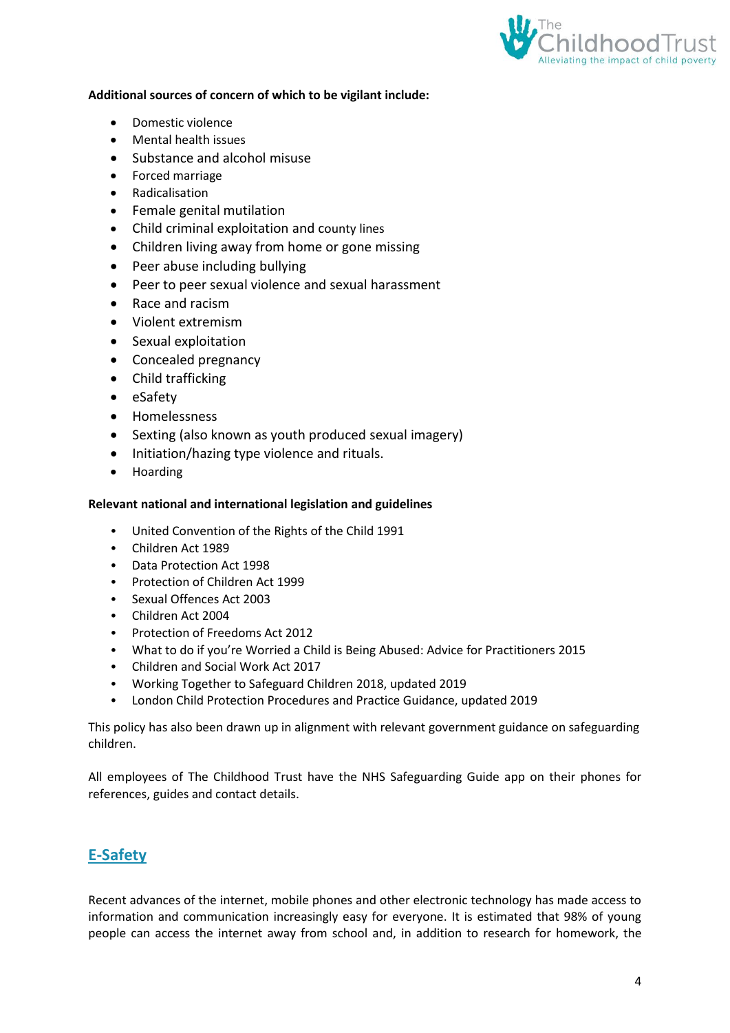

#### **Additional sources of concern of which to be vigilant include:**

- Domestic violence
- Mental health issues
- Substance and alcohol misuse
- Forced marriage
- Radicalisation
- Female genital mutilation
- Child criminal exploitation and county lines
- Children living away from home or gone missing
- Peer abuse including bullying
- Peer to peer sexual violence and sexual harassment
- Race and racism
- Violent extremism
- Sexual exploitation
- Concealed pregnancy
- Child trafficking
- eSafety
- Homelessness
- Sexting (also known as youth produced sexual imagery)
- Initiation/hazing type violence and rituals.
- Hoarding

#### <span id="page-3-0"></span>**Relevant national and international legislation and guidelines**

- United Convention of the Rights of the Child 1991
- Children Act 1989
- Data Protection Act 1998
- Protection of Children Act 1999
- Sexual Offences Act 2003
- Children Act 2004
- Protection of Freedoms Act 2012
- What to do if you're Worried a Child is Being Abused: Advice for Practitioners 2015
- Children and Social Work Act 2017
- Working Together to Safeguard Children 2018, updated 2019
- London Child Protection Procedures and Practice Guidance, updated 2019

This policy has also been drawn up in alignment with relevant government guidance on safeguarding children.

All employees of The Childhood Trust have the NHS Safeguarding Guide app on their phones for references, guides and contact details.

### <span id="page-3-1"></span>**E-Safety**

Recent advances of the internet, mobile phones and other electronic technology has made access to information and communication increasingly easy for everyone. It is estimated that 98% of young people can access the internet away from school and, in addition to research for homework, the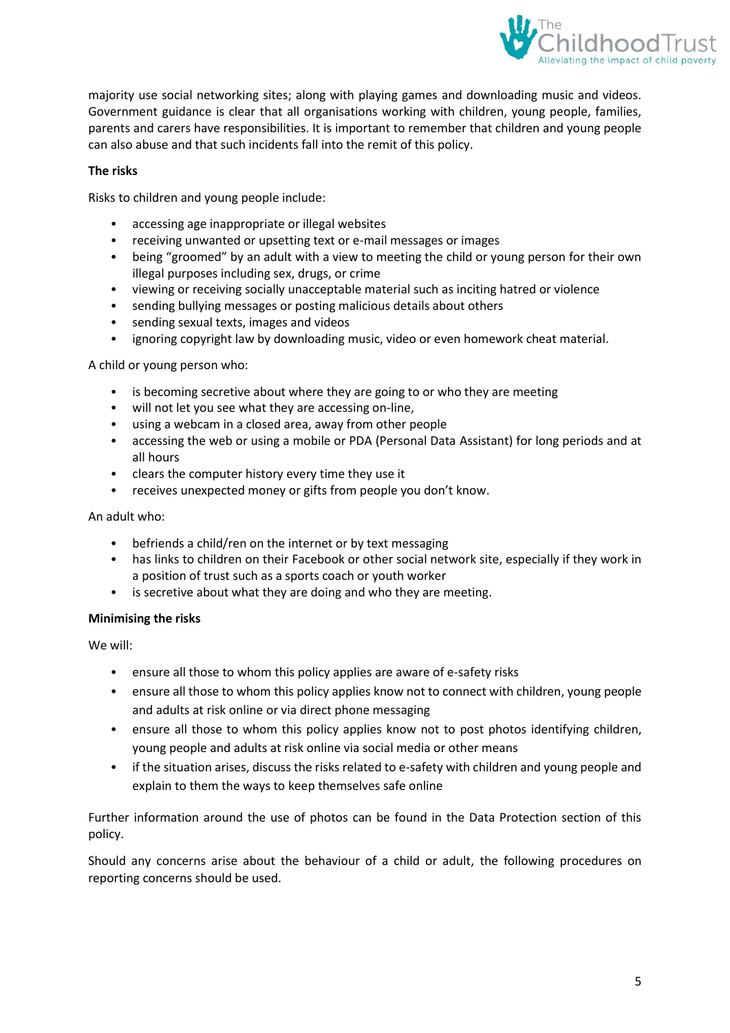

majority use social networking sites; along with playing games and downloading music and videos. Government guidance is clear that all organisations working with children, young people, families, parents and carers have responsibilities. It is important to remember that children and young people can also abuse and that such incidents fall into the remit of this policy.

#### **The risks**

Risks to children and young people include:

- accessing age inappropriate or illegal websites
- receiving unwanted or upsetting text or e-mail messages or images
- being "groomed" by an adult with a view to meeting the child or young person for their own illegal purposes including sex, drugs, or crime
- viewing or receiving socially unacceptable material such as inciting hatred or violence
- sending bullying messages or posting malicious details about others
- sending sexual texts, images and videos
- ignoring copyright law by downloading music, video or even homework cheat material.

A child or young person who:

- is becoming secretive about where they are going to or who they are meeting
- will not let you see what they are accessing on-line,
- using a webcam in a closed area, away from other people
- accessing the web or using a mobile or PDA (Personal Data Assistant) for long periods and at all hours
- clears the computer history every time they use it
- receives unexpected money or gifts from people you don't know.

#### An adult who:

- befriends a child/ren on the internet or by text messaging
- has links to children on their Facebook or other social network site, especially if they work in a position of trust such as a sports coach or youth worker
- is secretive about what they are doing and who they are meeting.

#### **Minimising the risks**

We will:

- ensure all those to whom this policy applies are aware of e-safety risks
- ensure all those to whom this policy applies know not to connect with children, young people and adults at risk online or via direct phone messaging
- ensure all those to whom this policy applies know not to post photos identifying children, young people and adults at risk online via social media or other means
- if the situation arises, discuss the risks related to e-safety with children and young people and explain to them the ways to keep themselves safe online

Further information around the use of photos can be found in the Data Protection section of this policy.

Should any concerns arise about the behaviour of a child or adult, the following procedures on reporting concerns should be used.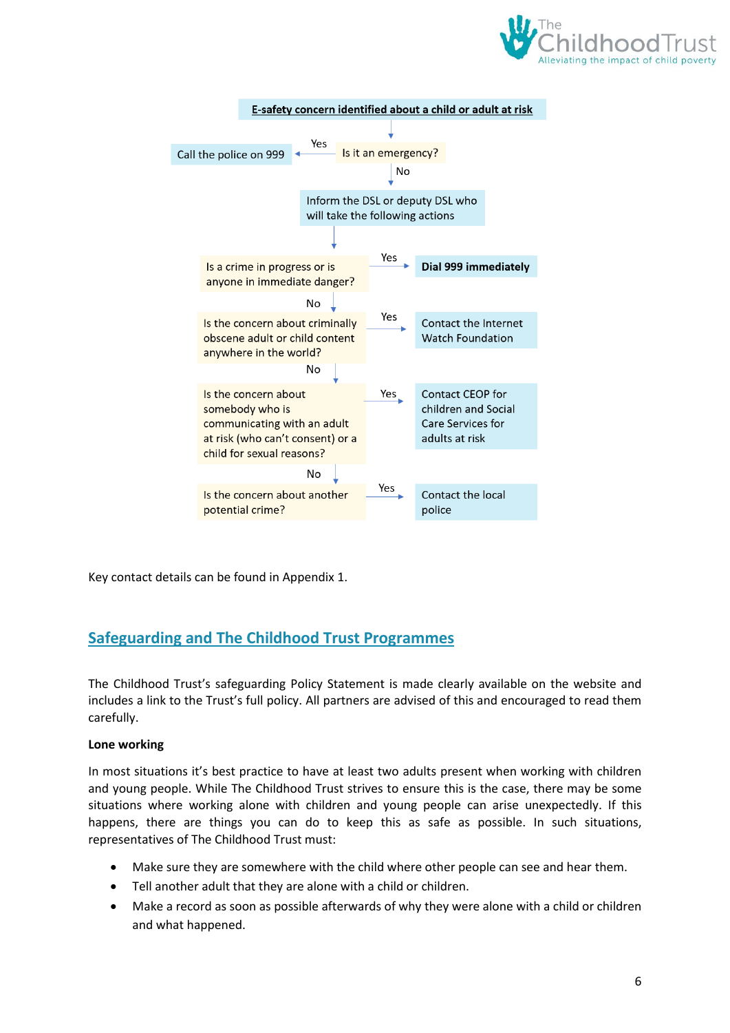



Key contact details can be found in Appendix 1.

### <span id="page-5-0"></span>**Safeguarding and The Childhood Trust Programmes**

The Childhood Trust's safeguarding Policy Statement is made clearly available on the website and includes a link to the Trust's full policy. All partners are advised of this and encouraged to read them carefully.

#### **Lone working**

In most situations it's best practice to have at least two adults present when working with children and young people. While The Childhood Trust strives to ensure this is the case, there may be some situations where working alone with children and young people can arise unexpectedly. If this happens, there are things you can do to keep this as safe as possible. In such situations, representatives of The Childhood Trust must:

- Make sure they are somewhere with the child where other people can see and hear them.
- Tell another adult that they are alone with a child or children.
- Make a record as soon as possible afterwards of why they were alone with a child or children and what happened.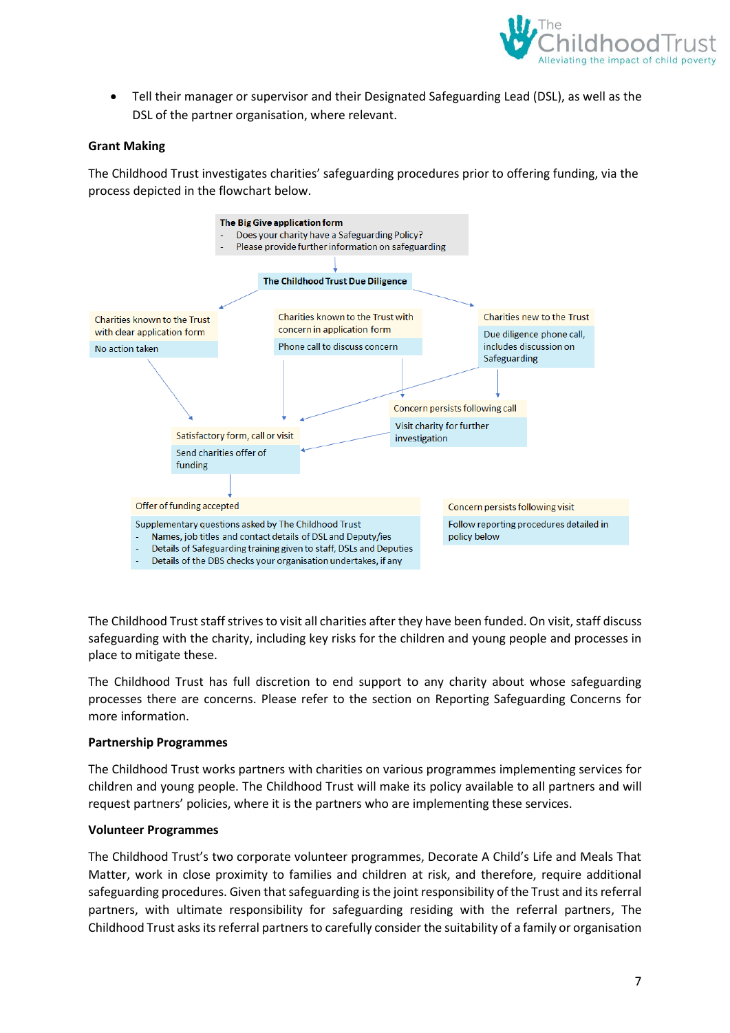

• Tell their manager or supervisor and their Designated Safeguarding Lead (DSL), as well as the DSL of the partner organisation, where relevant.

#### **Grant Making**

The Childhood Trust investigates charities' safeguarding procedures prior to offering funding, via the process depicted in the flowchart below.



The Childhood Trust staff strives to visit all charities after they have been funded. On visit, staff discuss safeguarding with the charity, including key risks for the children and young people and processes in place to mitigate these.

The Childhood Trust has full discretion to end support to any charity about whose safeguarding processes there are concerns. Please refer to the section on Reporting Safeguarding Concerns for more information.

#### **Partnership Programmes**

The Childhood Trust works partners with charities on various programmes implementing services for children and young people. The Childhood Trust will make its policy available to all partners and will request partners' policies, where it is the partners who are implementing these services.

#### **Volunteer Programmes**

The Childhood Trust's two corporate volunteer programmes, Decorate A Child's Life and Meals That Matter, work in close proximity to families and children at risk, and therefore, require additional safeguarding procedures. Given that safeguarding is the joint responsibility of the Trust and its referral partners, with ultimate responsibility for safeguarding residing with the referral partners, The Childhood Trust asks its referral partners to carefully consider the suitability of a family or organisation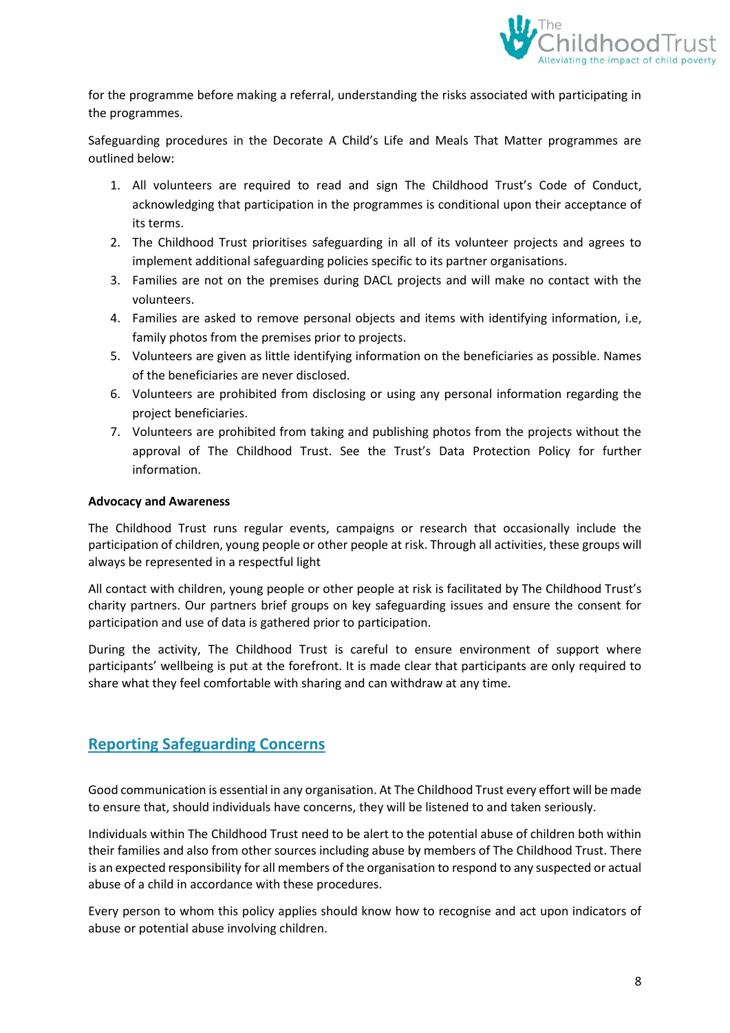

for the programme before making a referral, understanding the risks associated with participating in the programmes.

Safeguarding procedures in the Decorate A Child's Life and Meals That Matter programmes are outlined below:

- 1. All volunteers are required to read and sign The Childhood Trust's Code of Conduct, acknowledging that participation in the programmes is conditional upon their acceptance of its terms.
- 2. The Childhood Trust prioritises safeguarding in all of its volunteer projects and agrees to implement additional safeguarding policies specific to its partner organisations.
- 3. Families are not on the premises during DACL projects and will make no contact with the volunteers.
- 4. Families are asked to remove personal objects and items with identifying information, i.e, family photos from the premises prior to projects.
- 5. Volunteers are given as little identifying information on the beneficiaries as possible. Names of the beneficiaries are never disclosed.
- 6. Volunteers are prohibited from disclosing or using any personal information regarding the project beneficiaries.
- 7. Volunteers are prohibited from taking and publishing photos from the projects without the approval of The Childhood Trust. See the Trust's Data Protection Policy for further information.

#### **Advocacy and Awareness**

The Childhood Trust runs regular events, campaigns or research that occasionally include the participation of children, young people or other people at risk. Through all activities, these groups will always be represented in a respectful light

All contact with children, young people or other people at risk is facilitated by The Childhood Trust's charity partners. Our partners brief groups on key safeguarding issues and ensure the consent for participation and use of data is gathered prior to participation.

During the activity, The Childhood Trust is careful to ensure environment of support where participants' wellbeing is put at the forefront. It is made clear that participants are only required to share what they feel comfortable with sharing and can withdraw at any time.

### <span id="page-7-0"></span>**Reporting Safeguarding Concerns**

Good communication is essential in any organisation. At The Childhood Trust every effort will be made to ensure that, should individuals have concerns, they will be listened to and taken seriously.

Individuals within The Childhood Trust need to be alert to the potential abuse of children both within their families and also from other sources including abuse by members of The Childhood Trust. There is an expected responsibility for all members of the organisation to respond to any suspected or actual abuse of a child in accordance with these procedures.

Every person to whom this policy applies should know how to recognise and act upon indicators of abuse or potential abuse involving children.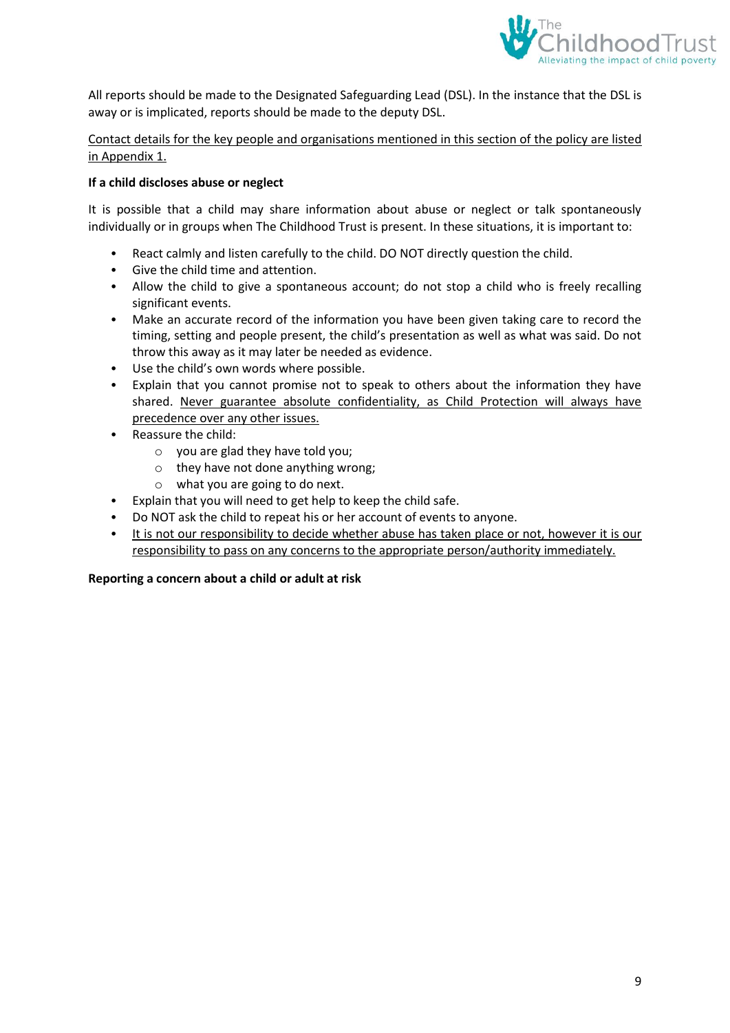

All reports should be made to the Designated Safeguarding Lead (DSL). In the instance that the DSL is away or is implicated, reports should be made to the deputy DSL.

#### Contact details for the key people and organisations mentioned in this section of the policy are listed in Appendix 1.

#### **If a child discloses abuse or neglect**

It is possible that a child may share information about abuse or neglect or talk spontaneously individually or in groups when The Childhood Trust is present. In these situations, it is important to:

- React calmly and listen carefully to the child. DO NOT directly question the child.
- Give the child time and attention.
- Allow the child to give a spontaneous account; do not stop a child who is freely recalling significant events.
- Make an accurate record of the information you have been given taking care to record the timing, setting and people present, the child's presentation as well as what was said. Do not throw this away as it may later be needed as evidence.
- Use the child's own words where possible.
- Explain that you cannot promise not to speak to others about the information they have shared. Never guarantee absolute confidentiality, as Child Protection will always have precedence over any other issues.
- Reassure the child:
	- o you are glad they have told you;
	- o they have not done anything wrong;
	- o what you are going to do next.
- Explain that you will need to get help to keep the child safe.
- Do NOT ask the child to repeat his or her account of events to anyone.
- It is not our responsibility to decide whether abuse has taken place or not, however it is our responsibility to pass on any concerns to the appropriate person/authority immediately.

#### **Reporting a concern about a child or adult at risk**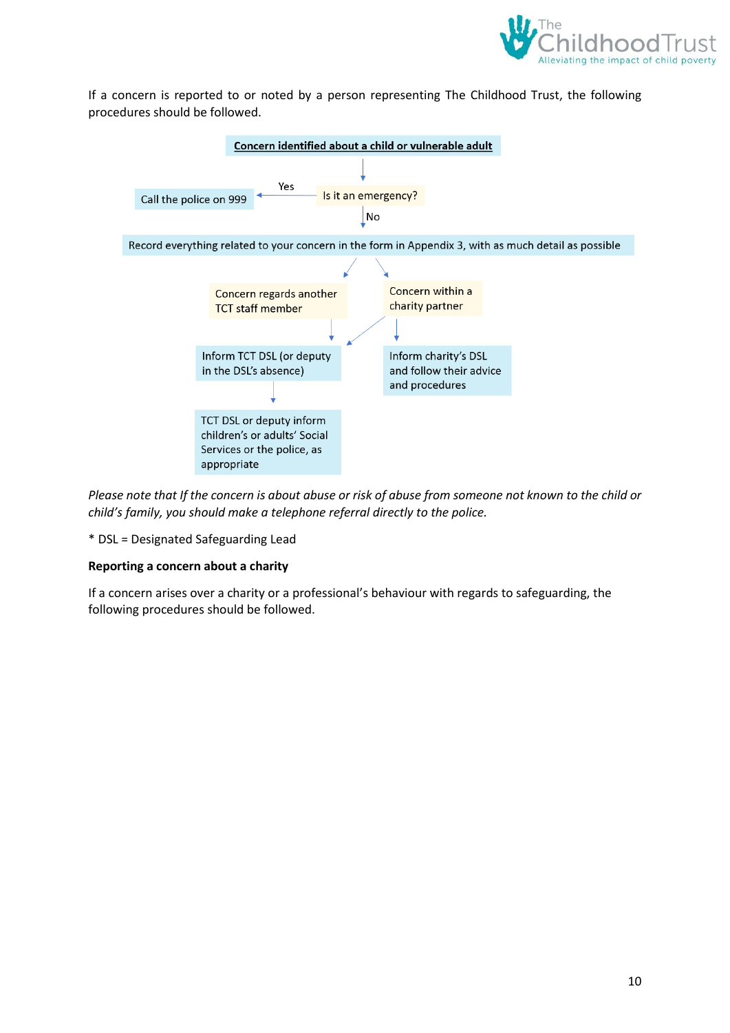

If a concern is reported to or noted by a person representing The Childhood Trust, the following procedures should be followed.



*Please note that If the concern is about abuse or risk of abuse from someone not known to the child or child's family, you should make a telephone referral directly to the police.*

\* DSL = Designated Safeguarding Lead

#### **Reporting a concern about a charity**

If a concern arises over a charity or a professional's behaviour with regards to safeguarding, the following procedures should be followed.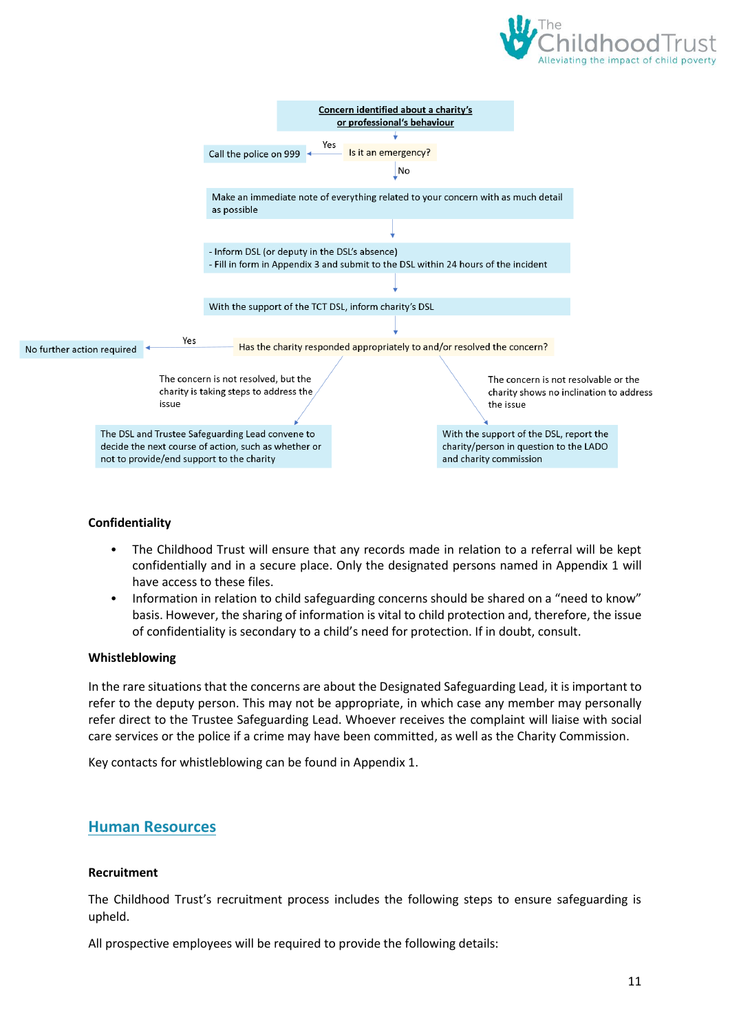



#### **Confidentiality**

- The Childhood Trust will ensure that any records made in relation to a referral will be kept confidentially and in a secure place. Only the designated persons named in Appendix 1 will have access to these files.
- Information in relation to child safeguarding concerns should be shared on a "need to know" basis. However, the sharing of information is vital to child protection and, therefore, the issue of confidentiality is secondary to a child's need for protection. If in doubt, consult.

#### **Whistleblowing**

In the rare situations that the concerns are about the Designated Safeguarding Lead, it is important to refer to the deputy person. This may not be appropriate, in which case any member may personally refer direct to the Trustee Safeguarding Lead. Whoever receives the complaint will liaise with social care services or the police if a crime may have been committed, as well as the Charity Commission.

Key contacts for whistleblowing can be found in Appendix 1.

### <span id="page-10-0"></span>**Human Resources**

#### **Recruitment**

The Childhood Trust's recruitment process includes the following steps to ensure safeguarding is upheld.

All prospective employees will be required to provide the following details: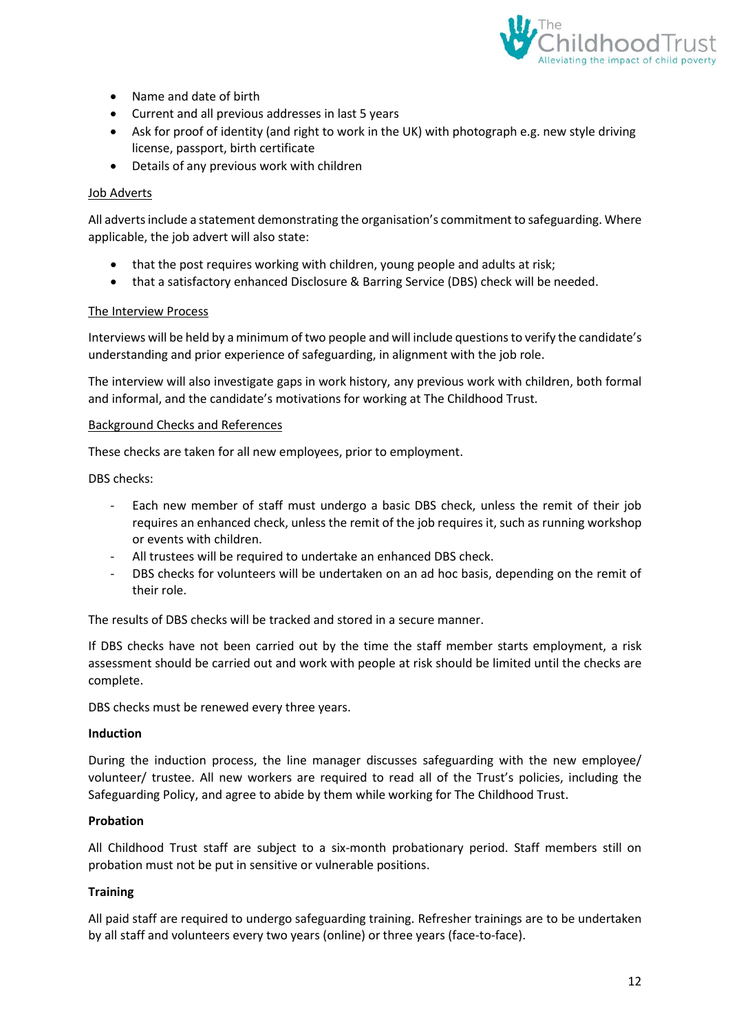

- Name and date of birth
- Current and all previous addresses in last 5 years
- Ask for proof of identity (and right to work in the UK) with photograph e.g. new style driving license, passport, birth certificate
- Details of any previous work with children

#### Job Adverts

All adverts include a statement demonstrating the organisation's commitment to safeguarding. Where applicable, the job advert will also state:

- that the post requires working with children, young people and adults at risk;
- that a satisfactory enhanced Disclosure & Barring Service (DBS) check will be needed.

#### The Interview Process

Interviews will be held by a minimum of two people and will include questions to verify the candidate's understanding and prior experience of safeguarding, in alignment with the job role.

The interview will also investigate gaps in work history, any previous work with children, both formal and informal, and the candidate's motivations for working at The Childhood Trust.

#### Background Checks and References

These checks are taken for all new employees, prior to employment.

DBS checks:

- Each new member of staff must undergo a basic DBS check, unless the remit of their job requires an enhanced check, unless the remit of the job requires it, such as running workshop or events with children.
- All trustees will be required to undertake an enhanced DBS check.
- DBS checks for volunteers will be undertaken on an ad hoc basis, depending on the remit of their role.

The results of DBS checks will be tracked and stored in a secure manner.

If DBS checks have not been carried out by the time the staff member starts employment, a risk assessment should be carried out and work with people at risk should be limited until the checks are complete.

DBS checks must be renewed every three years.

#### **Induction**

During the induction process, the line manager discusses safeguarding with the new employee/ volunteer/ trustee. All new workers are required to read all of the Trust's policies, including the Safeguarding Policy, and agree to abide by them while working for The Childhood Trust.

#### **Probation**

All Childhood Trust staff are subject to a six-month probationary period. Staff members still on probation must not be put in sensitive or vulnerable positions.

#### **Training**

All paid staff are required to undergo safeguarding training. Refresher trainings are to be undertaken by all staff and volunteers every two years (online) or three years (face-to-face).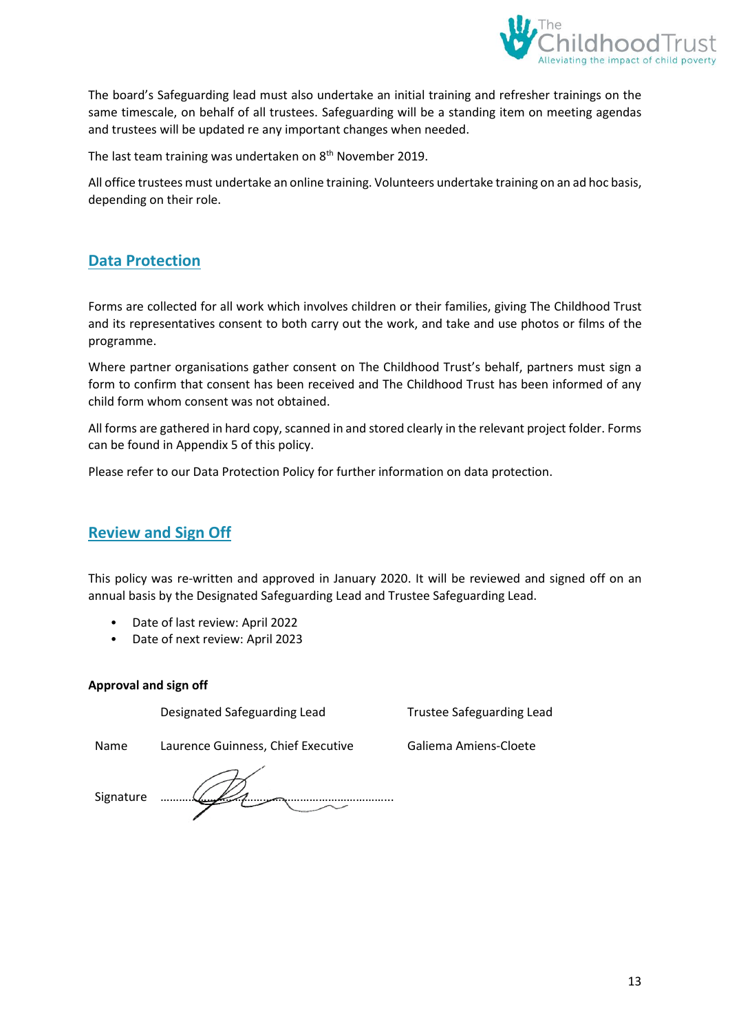

The board's Safeguarding lead must also undertake an initial training and refresher trainings on the same timescale, on behalf of all trustees. Safeguarding will be a standing item on meeting agendas and trustees will be updated re any important changes when needed.

The last team training was undertaken on 8<sup>th</sup> November 2019.

All office trustees must undertake an online training. Volunteers undertake training on an ad hoc basis, depending on their role.

### <span id="page-12-0"></span>**Data Protection**

Forms are collected for all work which involves children or their families, giving The Childhood Trust and its representatives consent to both carry out the work, and take and use photos or films of the programme.

Where partner organisations gather consent on The Childhood Trust's behalf, partners must sign a form to confirm that consent has been received and The Childhood Trust has been informed of any child form whom consent was not obtained.

All forms are gathered in hard copy, scanned in and stored clearly in the relevant project folder. Forms can be found in Appendix 5 of this policy.

Please refer to our Data Protection Policy for further information on data protection.

### <span id="page-12-1"></span>**Review and Sign Off**

This policy was re-written and approved in January 2020. It will be reviewed and signed off on an annual basis by the Designated Safeguarding Lead and Trustee Safeguarding Lead.

- Date of last review: April 2022
- Date of next review: April 2023

#### **Approval and sign off**

Designated Safeguarding Lead Trustee Safeguarding Lead

Name Laurence Guinness, Chief Executive Galiema Amiens-Cloete

Signature ………………………………………………………………...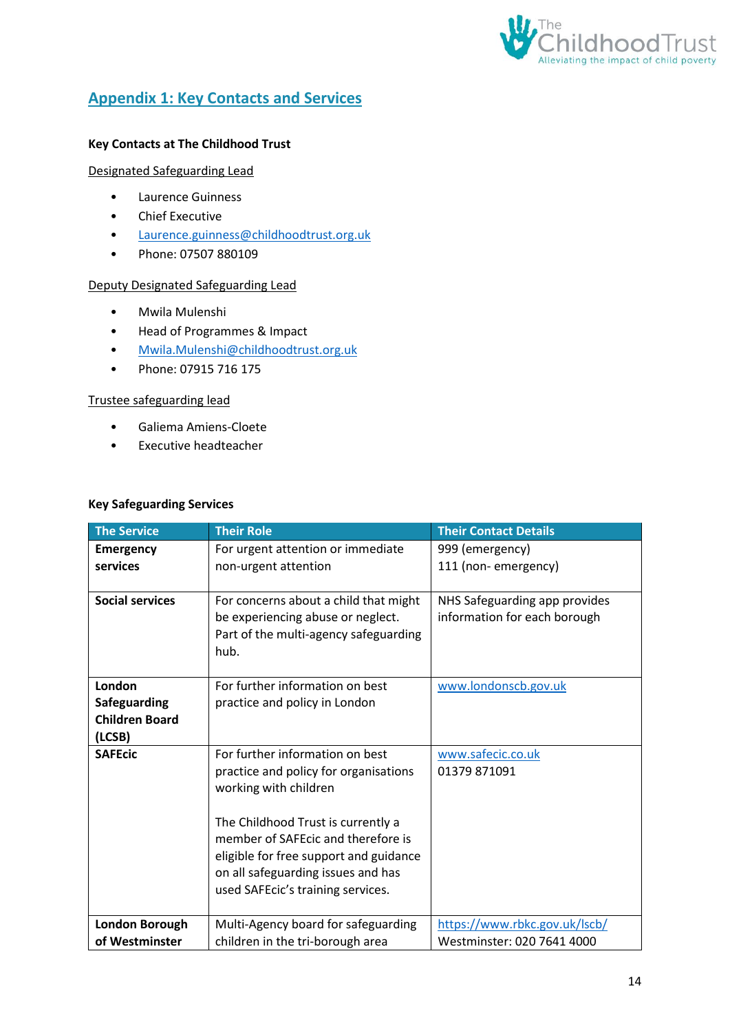

# <span id="page-13-0"></span>**Appendix 1: Key Contacts and Services**

### **Key Contacts at The Childhood Trust**

#### Designated Safeguarding Lead

- Laurence Guinness
- Chief Executive
- [Laurence.guinness@childhoodtrust.org.uk](mailto:Laurence.guinness@childhoodtrust.org.uk)
- Phone: 07507 880109

#### Deputy Designated Safeguarding Lead

- Mwila Mulenshi
- Head of Programmes & Impact
- [Mwila.Mulenshi@childhoodtrust.org.uk](mailto:Mwila.Mulenshi@childhoodtrust.org.uk)
- Phone: 07915 716 175

#### Trustee safeguarding lead

- Galiema Amiens-Cloete
- Executive headteacher

#### **Key Safeguarding Services**

| <b>The Service</b>                                               | <b>Their Role</b>                                                                                                                                                                                                                                                                                  | <b>Their Contact Details</b>                                  |
|------------------------------------------------------------------|----------------------------------------------------------------------------------------------------------------------------------------------------------------------------------------------------------------------------------------------------------------------------------------------------|---------------------------------------------------------------|
| <b>Emergency</b><br>services                                     | For urgent attention or immediate<br>non-urgent attention                                                                                                                                                                                                                                          | 999 (emergency)<br>111 (non-emergency)                        |
| <b>Social services</b>                                           | For concerns about a child that might<br>be experiencing abuse or neglect.<br>Part of the multi-agency safeguarding<br>hub.                                                                                                                                                                        | NHS Safeguarding app provides<br>information for each borough |
| London<br><b>Safeguarding</b><br><b>Children Board</b><br>(LCSB) | For further information on best<br>practice and policy in London                                                                                                                                                                                                                                   | www.londonscb.gov.uk                                          |
| <b>SAFEcic</b>                                                   | For further information on best<br>practice and policy for organisations<br>working with children<br>The Childhood Trust is currently a<br>member of SAFEcic and therefore is<br>eligible for free support and guidance<br>on all safeguarding issues and has<br>used SAFEcic's training services. | www.safecic.co.uk<br>01379 871091                             |
| <b>London Borough</b><br>of Westminster                          | Multi-Agency board for safeguarding<br>children in the tri-borough area                                                                                                                                                                                                                            | https://www.rbkc.gov.uk/lscb/<br>Westminster: 020 7641 4000   |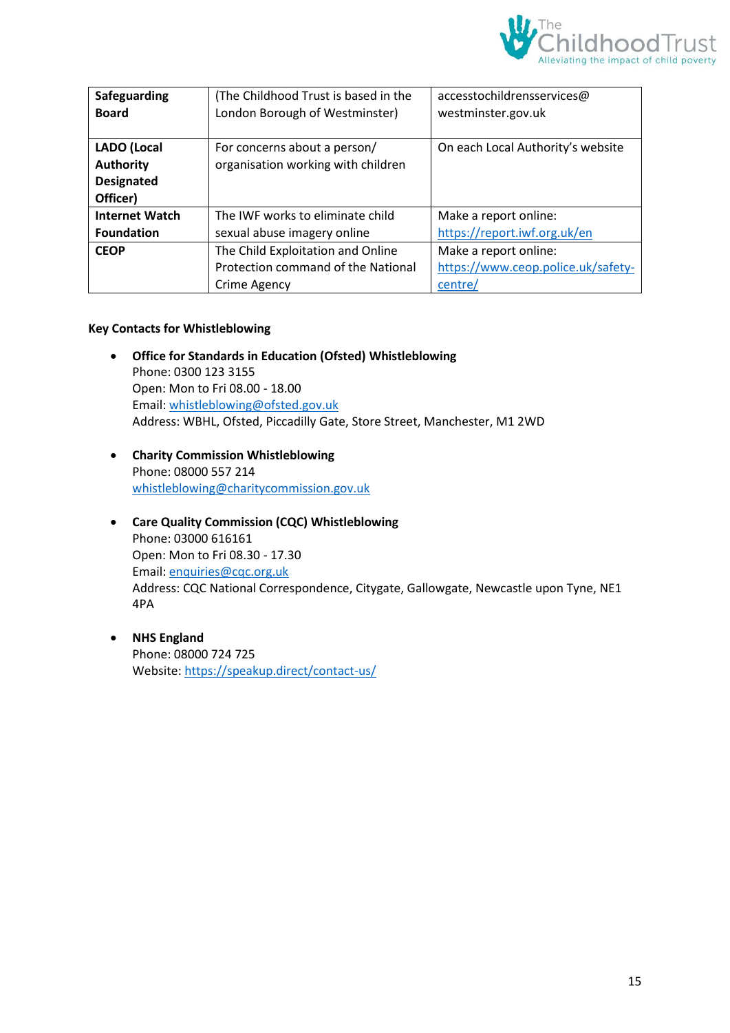

| Safeguarding          | (The Childhood Trust is based in the | accesstochildrensservices@         |
|-----------------------|--------------------------------------|------------------------------------|
| <b>Board</b>          | London Borough of Westminster)       | westminster.gov.uk                 |
|                       |                                      |                                    |
| <b>LADO</b> (Local    | For concerns about a person/         | On each Local Authority's website  |
| <b>Authority</b>      | organisation working with children   |                                    |
| <b>Designated</b>     |                                      |                                    |
| Officer)              |                                      |                                    |
| <b>Internet Watch</b> | The IWF works to eliminate child     | Make a report online:              |
| <b>Foundation</b>     | sexual abuse imagery online          | https://report.iwf.org.uk/en       |
| <b>CEOP</b>           | The Child Exploitation and Online    | Make a report online:              |
|                       | Protection command of the National   | https://www.ceop.police.uk/safety- |
|                       | Crime Agency                         | centre/                            |

#### **Key Contacts for Whistleblowing**

- **Office for Standards in Education (Ofsted) Whistleblowing** Phone: 0300 123 3155 Open: Mon to Fri 08.00 - 18.00 Email: [whistleblowing@ofsted.gov.uk](mailto:whistleblowing@ofsted.gov.uk) Address: WBHL, Ofsted, Piccadilly Gate, Store Street, Manchester, M1 2WD
- **Charity Commission Whistleblowing** Phone: 08000 557 214 [whistleblowing@charitycommission.gov.uk](mailto:whistleblowing@charitycommission.gov.uk)
- **Care Quality Commission (CQC) Whistleblowing** Phone: 03000 616161 Open: Mon to Fri 08.30 - 17.30 Email: [enquiries@cqc.org.uk](mailto:enquiries@cqc.org.uk) Address: CQC National Correspondence, Citygate, Gallowgate, Newcastle upon Tyne, NE1 4PA
- **NHS England** Phone: 08000 724 725 Website[: https://speakup.direct/contact-us/](https://speakup.direct/contact-us/)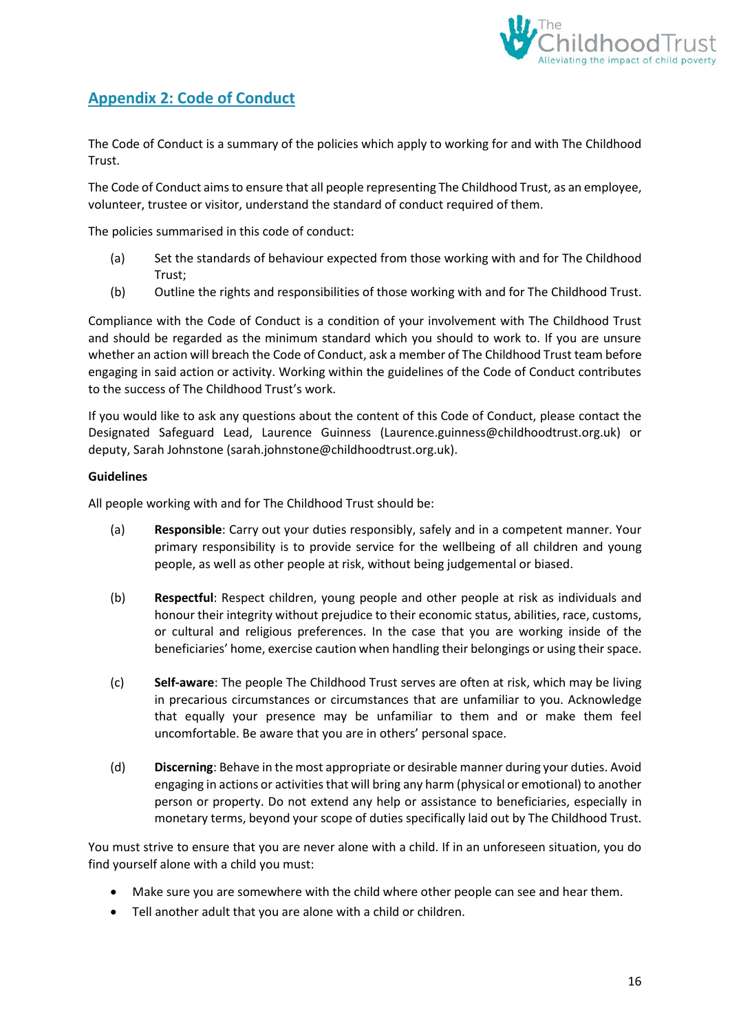

# <span id="page-15-0"></span>**Appendix 2: Code of Conduct**

The Code of Conduct is a summary of the policies which apply to working for and with The Childhood Trust.

The Code of Conduct aims to ensure that all people representing The Childhood Trust, as an employee, volunteer, trustee or visitor, understand the standard of conduct required of them.

The policies summarised in this code of conduct:

- (a) Set the standards of behaviour expected from those working with and for The Childhood Trust;
- (b) Outline the rights and responsibilities of those working with and for The Childhood Trust.

Compliance with the Code of Conduct is a condition of your involvement with The Childhood Trust and should be regarded as the minimum standard which you should to work to. If you are unsure whether an action will breach the Code of Conduct, ask a member of The Childhood Trust team before engaging in said action or activity. Working within the guidelines of the Code of Conduct contributes to the success of The Childhood Trust's work.

If you would like to ask any questions about the content of this Code of Conduct, please contact the Designated Safeguard Lead, Laurence Guinness (Laurence.guinness@childhoodtrust.org.uk) or deputy, Sarah Johnstone (sarah.johnstone@childhoodtrust.org.uk).

#### **Guidelines**

All people working with and for The Childhood Trust should be:

- (a) **Responsible**: Carry out your duties responsibly, safely and in a competent manner. Your primary responsibility is to provide service for the wellbeing of all children and young people, as well as other people at risk, without being judgemental or biased.
- (b) **Respectful**: Respect children, young people and other people at risk as individuals and honour their integrity without prejudice to their economic status, abilities, race, customs, or cultural and religious preferences. In the case that you are working inside of the beneficiaries' home, exercise caution when handling their belongings or using their space.
- (c) **Self-aware**: The people The Childhood Trust serves are often at risk, which may be living in precarious circumstances or circumstances that are unfamiliar to you. Acknowledge that equally your presence may be unfamiliar to them and or make them feel uncomfortable. Be aware that you are in others' personal space.
- (d) **Discerning**: Behave in the most appropriate or desirable manner during your duties. Avoid engaging in actions or activities that will bring any harm (physical or emotional) to another person or property. Do not extend any help or assistance to beneficiaries, especially in monetary terms, beyond your scope of duties specifically laid out by The Childhood Trust.

You must strive to ensure that you are never alone with a child. If in an unforeseen situation, you do find yourself alone with a child you must:

- Make sure you are somewhere with the child where other people can see and hear them.
- Tell another adult that you are alone with a child or children.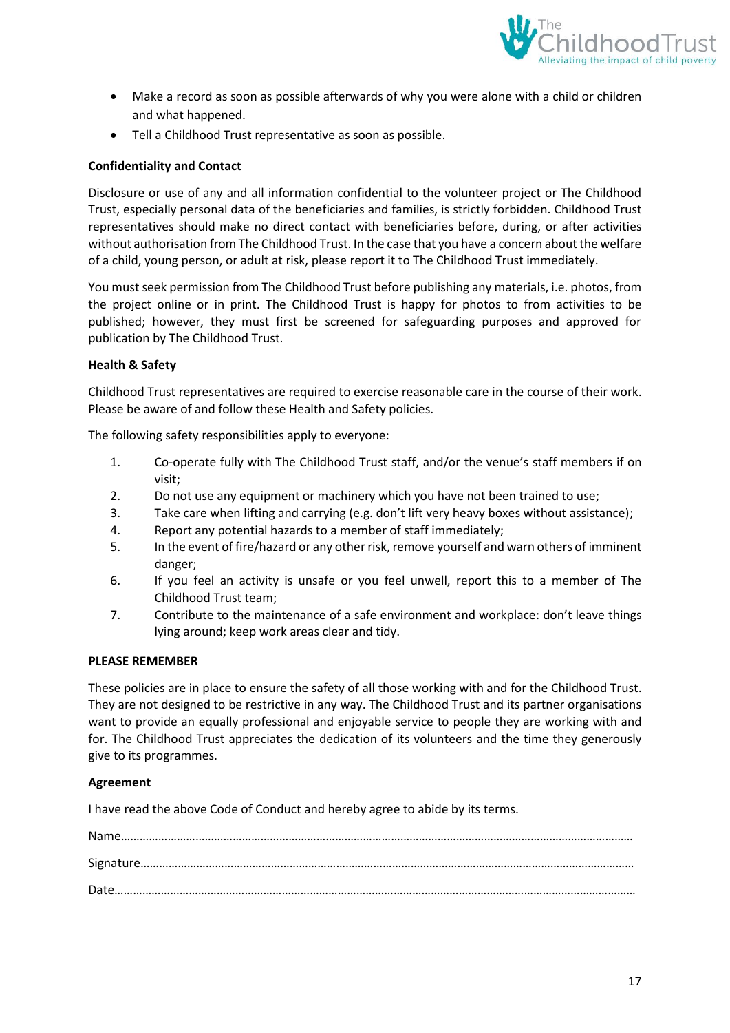

- Make a record as soon as possible afterwards of why you were alone with a child or children and what happened.
- Tell a Childhood Trust representative as soon as possible.

#### **Confidentiality and Contact**

Disclosure or use of any and all information confidential to the volunteer project or The Childhood Trust, especially personal data of the beneficiaries and families, is strictly forbidden. Childhood Trust representatives should make no direct contact with beneficiaries before, during, or after activities without authorisation from The Childhood Trust. In the case that you have a concern about the welfare of a child, young person, or adult at risk, please report it to The Childhood Trust immediately.

You must seek permission from The Childhood Trust before publishing any materials, i.e. photos, from the project online or in print. The Childhood Trust is happy for photos to from activities to be published; however, they must first be screened for safeguarding purposes and approved for publication by The Childhood Trust.

#### **Health & Safety**

Childhood Trust representatives are required to exercise reasonable care in the course of their work. Please be aware of and follow these Health and Safety policies.

The following safety responsibilities apply to everyone:

- 1. Co-operate fully with The Childhood Trust staff, and/or the venue's staff members if on visit;
- 2. Do not use any equipment or machinery which you have not been trained to use;
- 3. Take care when lifting and carrying (e.g. don't lift very heavy boxes without assistance);
- 4. Report any potential hazards to a member of staff immediately;
- 5. In the event of fire/hazard or any other risk, remove yourself and warn others of imminent danger;
- 6. If you feel an activity is unsafe or you feel unwell, report this to a member of The Childhood Trust team;
- 7. Contribute to the maintenance of a safe environment and workplace: don't leave things lying around; keep work areas clear and tidy.

#### **PLEASE REMEMBER**

These policies are in place to ensure the safety of all those working with and for the Childhood Trust. They are not designed to be restrictive in any way. The Childhood Trust and its partner organisations want to provide an equally professional and enjoyable service to people they are working with and for. The Childhood Trust appreciates the dedication of its volunteers and the time they generously give to its programmes.

#### **Agreement**

I have read the above Code of Conduct and hereby agree to abide by its terms.

| $\textbf{Name} \textcolor{red}{.} \textcolor{red}{.} \textcolor{red}{.} \textcolor{red}{.} \textcolor{red}{.} \textcolor{red}{.} \textcolor{red}{.} \textcolor{red}{.} \textcolor{red}{.} \textcolor{red}{.} \textcolor{red}{.} \textcolor{red}{.} \textcolor{red}{.} \textcolor{red}{.} \textcolor{red}{.} \textcolor{red}{.} \textcolor{red}{.} \textcolor{red}{.} \textcolor{red}{.} \textcolor{red}{.} \textcolor{red}{.} \textcolor{red}{.} \textcolor{red}{.} \textcolor{red}{.} \textcolor{red}{.} \textcolor{red}{.} \textcolor{red}{$                                                                       |  |
|----------------------------------------------------------------------------------------------------------------------------------------------------------------------------------------------------------------------------------------------------------------------------------------------------------------------------------------------------------------------------------------------------------------------------------------------------------------------------------------------------------------------------------------------------------------------------------------------------------------------|--|
|                                                                                                                                                                                                                                                                                                                                                                                                                                                                                                                                                                                                                      |  |
| $\textbf{Date} \textcolor{red}{.}\textcolor{blue}{.}\textcolor{blue}{.}\textcolor{blue}{.}\textcolor{blue}{.}\textcolor{blue}{.}\textcolor{blue}{.}\textcolor{blue}{.}\textcolor{blue}{.}\textcolor{blue}{.}\textcolor{blue}{.}\textcolor{blue}{.}\textcolor{blue}{.}\textcolor{blue}{.}\textcolor{blue}{.}\textcolor{blue}{.}\textcolor{blue}{.}\textcolor{blue}{.}\textcolor{blue}{.}\textcolor{blue}{.}\textcolor{blue}{.}\textcolor{blue}{.}\textcolor{blue}{.}\textcolor{blue}{.}\textcolor{blue}{.}\textcolor{blue}{.}\textcolor{blue}{.}\textcolor{blue}{.}\textcolor{blue}{.}\textcolor{blue}{.}\textcolor{$ |  |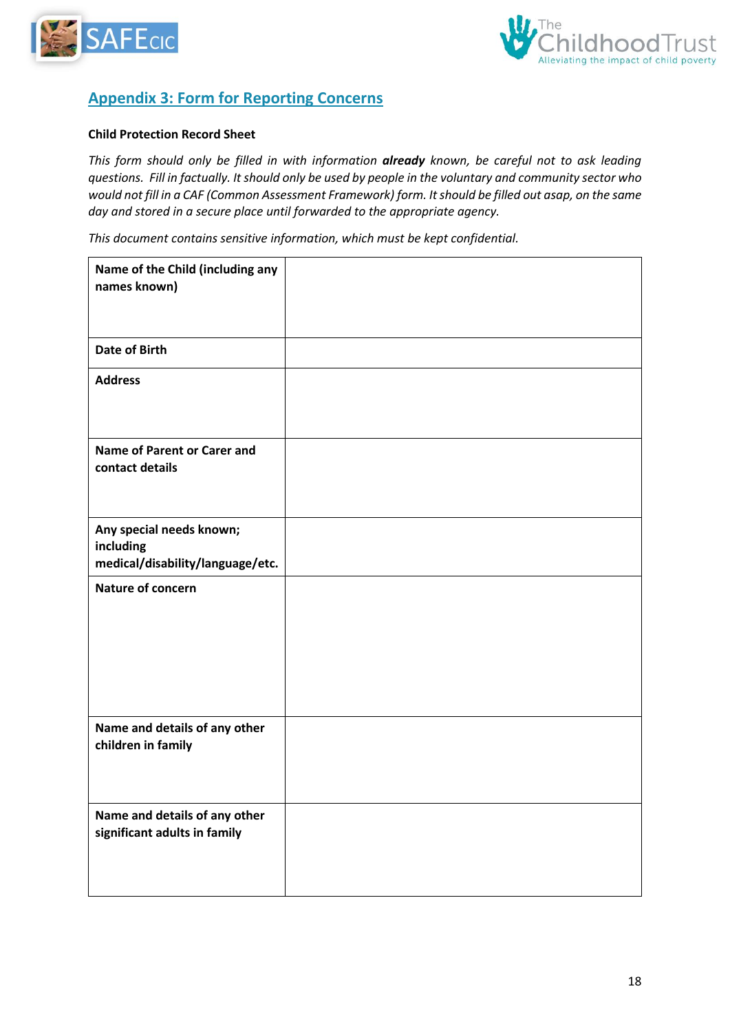



# <span id="page-17-0"></span>**Appendix 3: Form for Reporting Concerns**

#### **Child Protection Record Sheet**

*This form should only be filled in with information already known, be careful not to ask leading questions. Fill in factually. It should only be used by people in the voluntary and community sector who would not fill in a CAF (Common Assessment Framework) form. It should be filled out asap, on the same day and stored in a secure place until forwarded to the appropriate agency.*

*This document contains sensitive information, which must be kept confidential.* 

| Name of the Child (including any<br>names known)                          |  |
|---------------------------------------------------------------------------|--|
| <b>Date of Birth</b>                                                      |  |
| <b>Address</b>                                                            |  |
| <b>Name of Parent or Carer and</b><br>contact details                     |  |
| Any special needs known;<br>including<br>medical/disability/language/etc. |  |
| Nature of concern                                                         |  |
| Name and details of any other<br>children in family                       |  |
| Name and details of any other<br>significant adults in family             |  |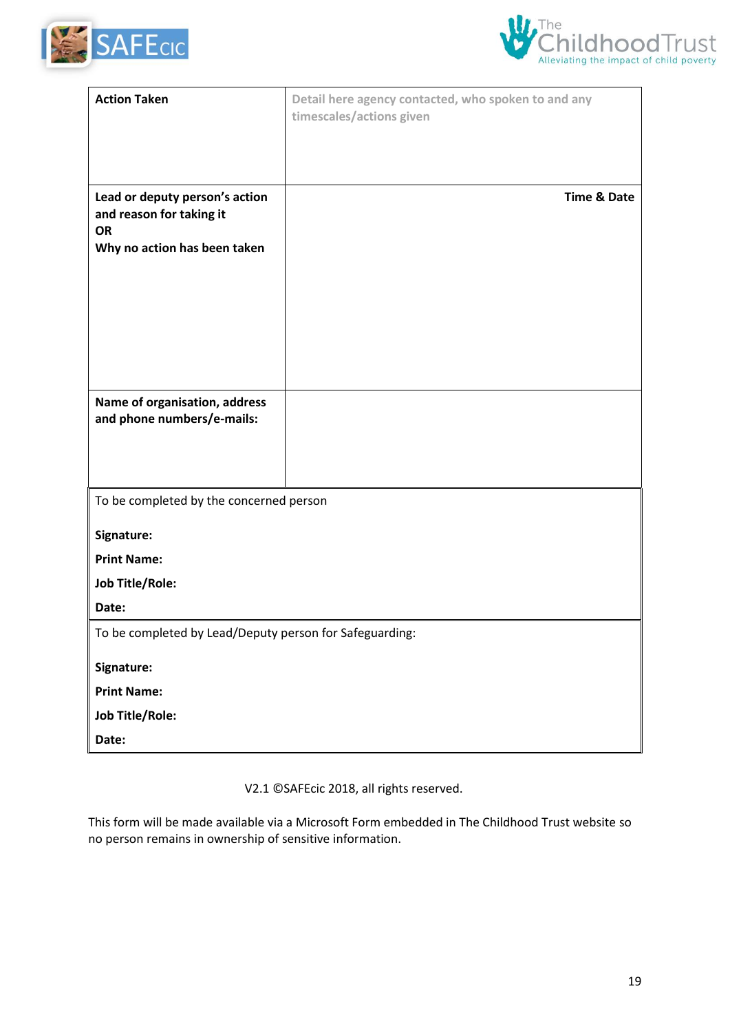



| <b>Action Taken</b>                                                     | Detail here agency contacted, who spoken to and any<br>timescales/actions given |
|-------------------------------------------------------------------------|---------------------------------------------------------------------------------|
|                                                                         |                                                                                 |
|                                                                         |                                                                                 |
| Lead or deputy person's action<br>and reason for taking it<br><b>OR</b> | <b>Time &amp; Date</b>                                                          |
| Why no action has been taken                                            |                                                                                 |
|                                                                         |                                                                                 |
|                                                                         |                                                                                 |
|                                                                         |                                                                                 |
|                                                                         |                                                                                 |
| Name of organisation, address<br>and phone numbers/e-mails:             |                                                                                 |
|                                                                         |                                                                                 |
|                                                                         |                                                                                 |
| To be completed by the concerned person                                 |                                                                                 |
| Signature:                                                              |                                                                                 |
| <b>Print Name:</b>                                                      |                                                                                 |
| <b>Job Title/Role:</b>                                                  |                                                                                 |
| Date:                                                                   |                                                                                 |
| To be completed by Lead/Deputy person for Safeguarding:                 |                                                                                 |
| Signature:                                                              |                                                                                 |
| <b>Print Name:</b>                                                      |                                                                                 |
| <b>Job Title/Role:</b>                                                  |                                                                                 |
| Date:                                                                   |                                                                                 |

V2.1 ©SAFEcic 2018, all rights reserved.

This form will be made available via a Microsoft Form embedded in The Childhood Trust website so no person remains in ownership of sensitive information.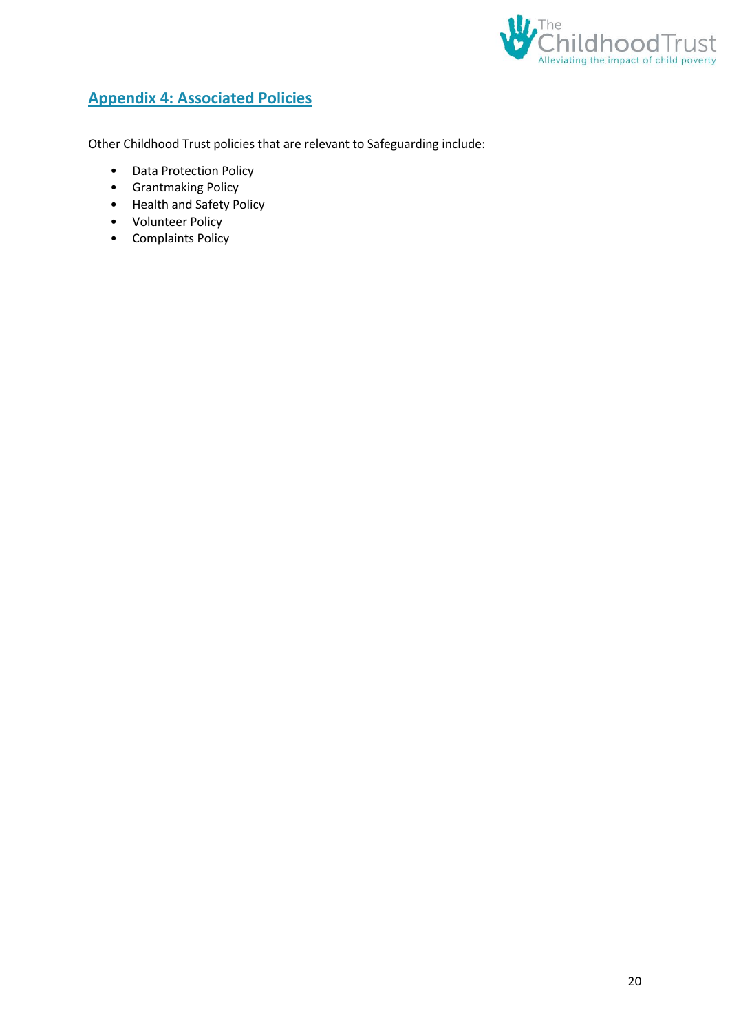

# <span id="page-19-0"></span>**Appendix 4: Associated Policies**

Other Childhood Trust policies that are relevant to Safeguarding include:

- Data Protection Policy
- Grantmaking Policy
- Health and Safety Policy
- Volunteer Policy
- Complaints Policy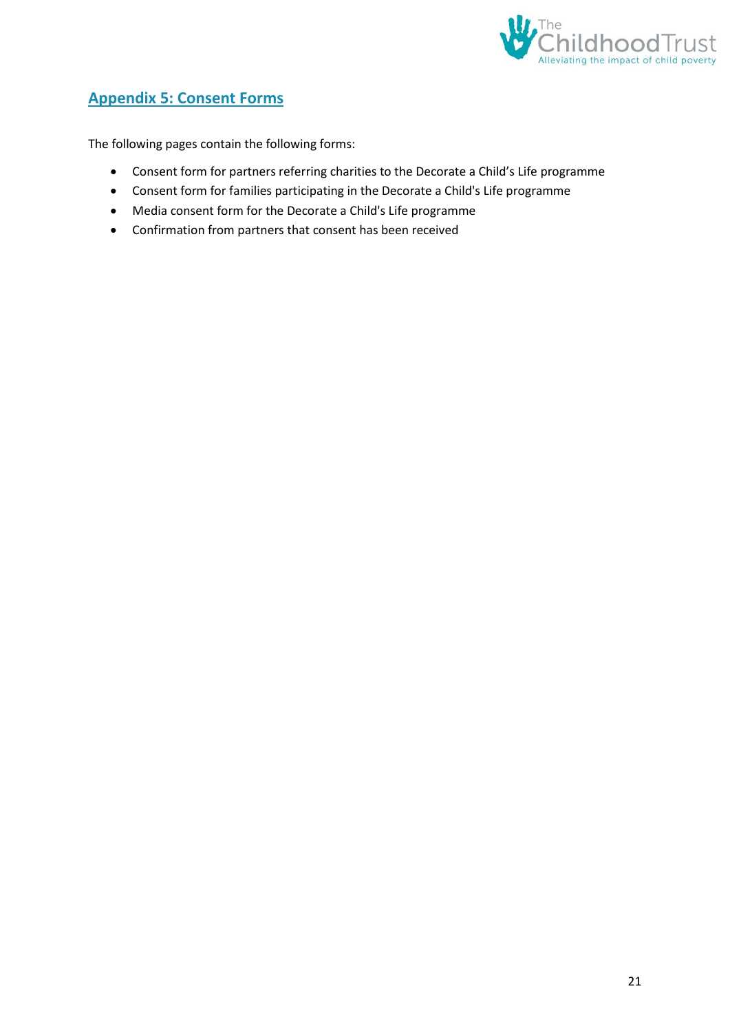

# <span id="page-20-0"></span>**Appendix 5: Consent Forms**

The following pages contain the following forms:

- Consent form for partners referring charities to the Decorate a Child's Life programme
- Consent form for families participating in the Decorate a Child's Life programme
- Media consent form for the Decorate a Child's Life programme
- Confirmation from partners that consent has been received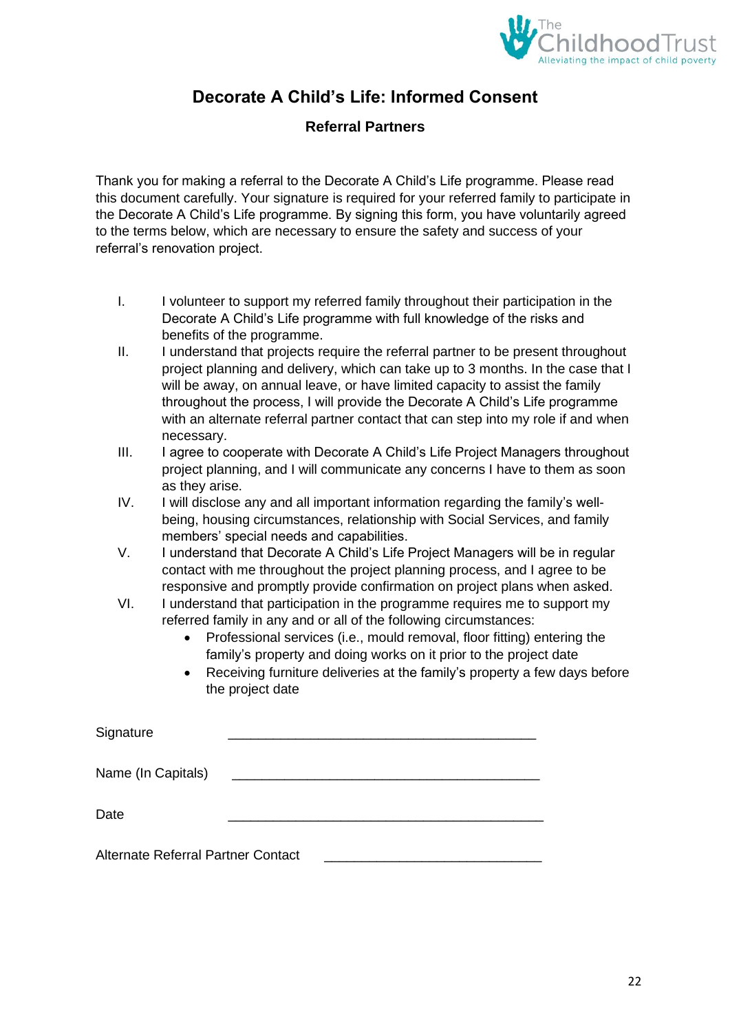

# **Decorate A Child's Life: Informed Consent**

### **Referral Partners**

Thank you for making a referral to the Decorate A Child's Life programme. Please read this document carefully. Your signature is required for your referred family to participate in the Decorate A Child's Life programme. By signing this form, you have voluntarily agreed to the terms below, which are necessary to ensure the safety and success of your referral's renovation project.

- I. I volunteer to support my referred family throughout their participation in the Decorate A Child's Life programme with full knowledge of the risks and benefits of the programme.
- II. I understand that projects require the referral partner to be present throughout project planning and delivery, which can take up to 3 months. In the case that I will be away, on annual leave, or have limited capacity to assist the family throughout the process, I will provide the Decorate A Child's Life programme with an alternate referral partner contact that can step into my role if and when necessary.
- III. I agree to cooperate with Decorate A Child's Life Project Managers throughout project planning, and I will communicate any concerns I have to them as soon as they arise.
- IV. I will disclose any and all important information regarding the family's wellbeing, housing circumstances, relationship with Social Services, and family members' special needs and capabilities.
- V. I understand that Decorate A Child's Life Project Managers will be in regular contact with me throughout the project planning process, and I agree to be responsive and promptly provide confirmation on project plans when asked.
- VI. I understand that participation in the programme requires me to support my referred family in any and or all of the following circumstances:
	- Professional services (i.e., mould removal, floor fitting) entering the family's property and doing works on it prior to the project date
	- Receiving furniture deliveries at the family's property a few days before the project date

| Signature                          |  |
|------------------------------------|--|
| Name (In Capitals)                 |  |
| Date                               |  |
| Alternate Referral Partner Contact |  |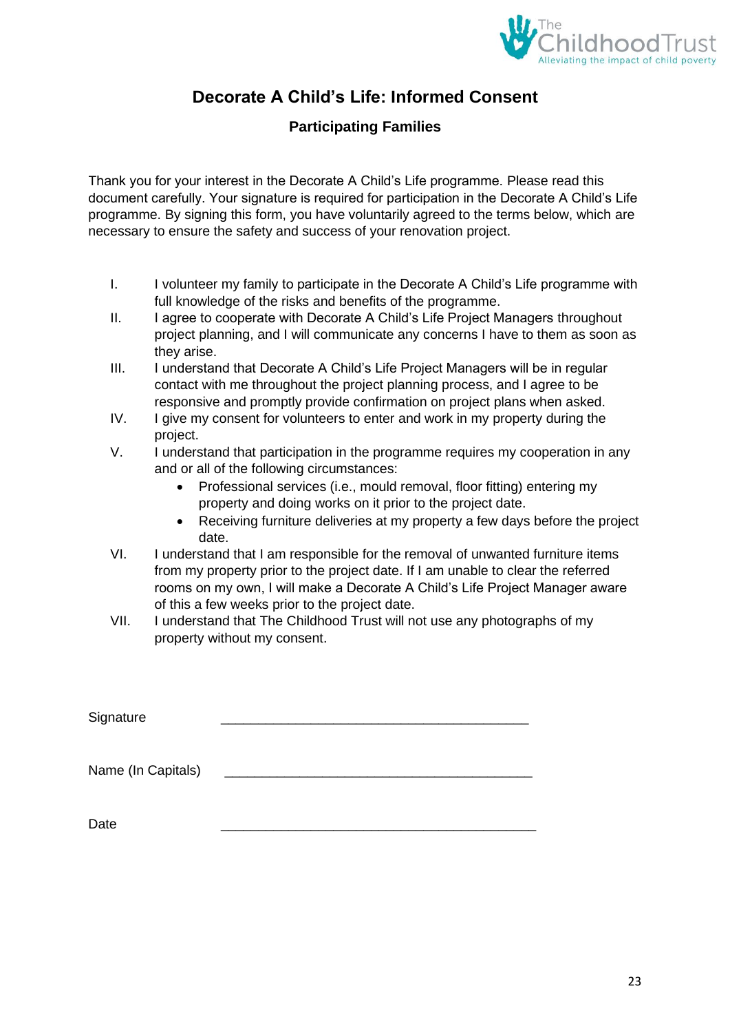

# **Decorate A Child's Life: Informed Consent**

### **Participating Families**

Thank you for your interest in the Decorate A Child's Life programme. Please read this document carefully. Your signature is required for participation in the Decorate A Child's Life programme. By signing this form, you have voluntarily agreed to the terms below, which are necessary to ensure the safety and success of your renovation project.

- I. I volunteer my family to participate in the Decorate A Child's Life programme with full knowledge of the risks and benefits of the programme.
- II. I agree to cooperate with Decorate A Child's Life Project Managers throughout project planning, and I will communicate any concerns I have to them as soon as they arise.
- III. I understand that Decorate A Child's Life Project Managers will be in regular contact with me throughout the project planning process, and I agree to be responsive and promptly provide confirmation on project plans when asked.
- IV. I give my consent for volunteers to enter and work in my property during the project.
- V. I understand that participation in the programme requires my cooperation in any and or all of the following circumstances:
	- Professional services (i.e., mould removal, floor fitting) entering my property and doing works on it prior to the project date.
	- • Receiving furniture deliveries at my property a few days before the project date.
- VI. I understand that I am responsible for the removal of unwanted furniture items from my property prior to the project date. If I am unable to clear the referred rooms on my own, I will make a Decorate A Child's Life Project Manager aware of this a few weeks prior to the project date.
- VII. I understand that The Childhood Trust will not use any photographs of my property without my consent.

| Signature          |  |
|--------------------|--|
| Name (In Capitals) |  |
| Date               |  |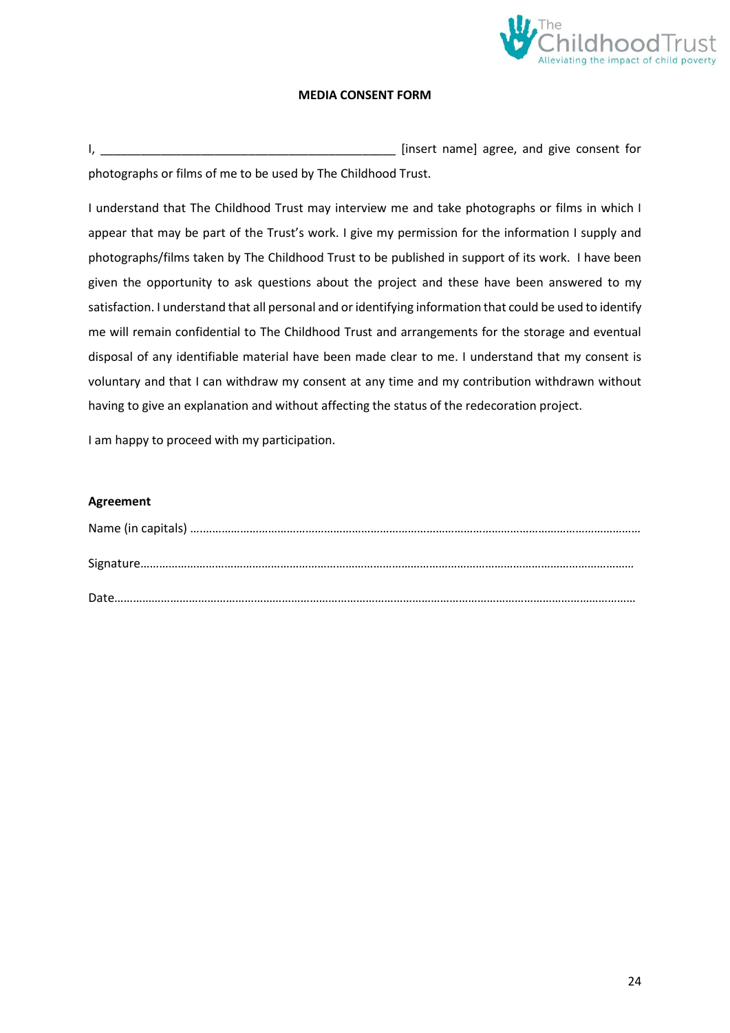

#### **MEDIA CONSENT FORM**

I, \_\_\_\_\_\_\_\_\_\_\_\_\_\_\_\_\_\_\_\_\_\_\_\_\_\_\_\_\_\_\_\_\_\_\_\_\_\_\_\_\_\_\_\_ [insert name] agree, and give consent for photographs or films of me to be used by The Childhood Trust.

I understand that The Childhood Trust may interview me and take photographs or films in which I appear that may be part of the Trust's work. I give my permission for the information I supply and photographs/films taken by The Childhood Trust to be published in support of its work. I have been given the opportunity to ask questions about the project and these have been answered to my satisfaction. I understand that all personal and or identifying information that could be used to identify me will remain confidential to The Childhood Trust and arrangements for the storage and eventual disposal of any identifiable material have been made clear to me. I understand that my consent is voluntary and that I can withdraw my consent at any time and my contribution withdrawn without having to give an explanation and without affecting the status of the redecoration project.

I am happy to proceed with my participation.

#### **Agreement**